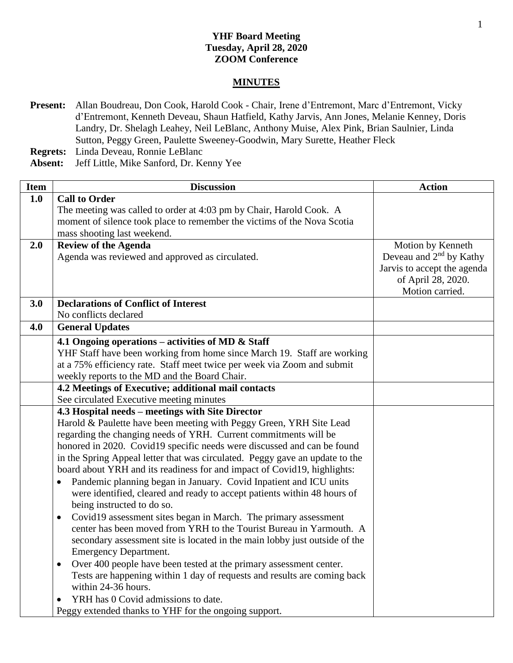## **YHF Board Meeting Tuesday, April 28, 2020 ZOOM Conference**

## **MINUTES**

- **Present:** Allan Boudreau, Don Cook, Harold Cook Chair, Irene d'Entremont, Marc d'Entremont, Vicky d'Entremont, Kenneth Deveau, Shaun Hatfield, Kathy Jarvis, Ann Jones, Melanie Kenney, Doris Landry, Dr. Shelagh Leahey, Neil LeBlanc, Anthony Muise, Alex Pink, Brian Saulnier, Linda Sutton, Peggy Green, Paulette Sweeney-Goodwin, Mary Surette, Heather Fleck
- **Regrets:** Linda Deveau, Ronnie LeBlanc
- **Absent:** Jeff Little, Mike Sanford, Dr. Kenny Yee

| <b>Item</b> | <b>Discussion</b>                                                               | <b>Action</b>               |
|-------------|---------------------------------------------------------------------------------|-----------------------------|
| 1.0         | <b>Call to Order</b>                                                            |                             |
|             | The meeting was called to order at 4:03 pm by Chair, Harold Cook. A             |                             |
|             | moment of silence took place to remember the victims of the Nova Scotia         |                             |
|             | mass shooting last weekend.                                                     |                             |
| 2.0         | <b>Review of the Agenda</b>                                                     | Motion by Kenneth           |
|             | Agenda was reviewed and approved as circulated.                                 | Deveau and $2nd$ by Kathy   |
|             |                                                                                 | Jarvis to accept the agenda |
|             |                                                                                 | of April 28, 2020.          |
|             |                                                                                 | Motion carried.             |
| 3.0         | <b>Declarations of Conflict of Interest</b>                                     |                             |
|             | No conflicts declared                                                           |                             |
| 4.0         | <b>General Updates</b>                                                          |                             |
|             | 4.1 Ongoing operations – activities of MD $\&$ Staff                            |                             |
|             | YHF Staff have been working from home since March 19. Staff are working         |                             |
|             | at a 75% efficiency rate. Staff meet twice per week via Zoom and submit         |                             |
|             | weekly reports to the MD and the Board Chair.                                   |                             |
|             | 4.2 Meetings of Executive; additional mail contacts                             |                             |
|             | See circulated Executive meeting minutes                                        |                             |
|             | 4.3 Hospital needs - meetings with Site Director                                |                             |
|             | Harold & Paulette have been meeting with Peggy Green, YRH Site Lead             |                             |
|             | regarding the changing needs of YRH. Current commitments will be                |                             |
|             | honored in 2020. Covid19 specific needs were discussed and can be found         |                             |
|             | in the Spring Appeal letter that was circulated. Peggy gave an update to the    |                             |
|             | board about YRH and its readiness for and impact of Covid19, highlights:        |                             |
|             | Pandemic planning began in January. Covid Inpatient and ICU units               |                             |
|             | were identified, cleared and ready to accept patients within 48 hours of        |                             |
|             | being instructed to do so.                                                      |                             |
|             | Covid19 assessment sites began in March. The primary assessment<br>$\bullet$    |                             |
|             | center has been moved from YRH to the Tourist Bureau in Yarmouth. A             |                             |
|             | secondary assessment site is located in the main lobby just outside of the      |                             |
|             | <b>Emergency Department.</b>                                                    |                             |
|             | Over 400 people have been tested at the primary assessment center.<br>$\bullet$ |                             |
|             | Tests are happening within 1 day of requests and results are coming back        |                             |
|             | within 24-36 hours.                                                             |                             |
|             | YRH has 0 Covid admissions to date.                                             |                             |
|             | Peggy extended thanks to YHF for the ongoing support.                           |                             |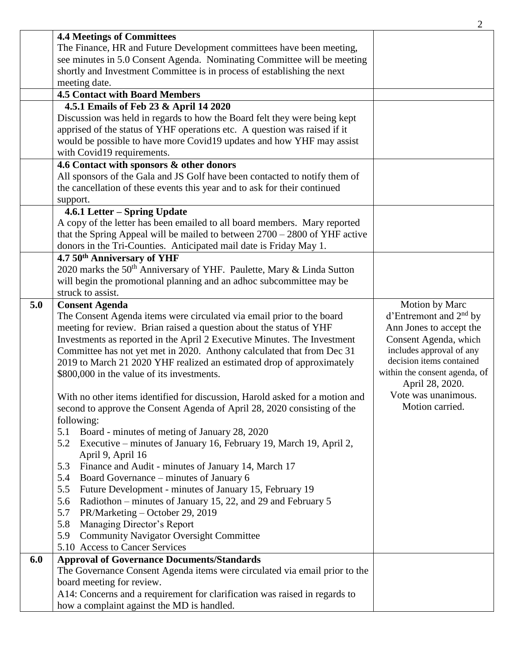|     |                                                                                   | 2                                  |
|-----|-----------------------------------------------------------------------------------|------------------------------------|
|     | <b>4.4 Meetings of Committees</b>                                                 |                                    |
|     | The Finance, HR and Future Development committees have been meeting,              |                                    |
|     | see minutes in 5.0 Consent Agenda. Nominating Committee will be meeting           |                                    |
|     | shortly and Investment Committee is in process of establishing the next           |                                    |
|     | meeting date.                                                                     |                                    |
|     | <b>4.5 Contact with Board Members</b>                                             |                                    |
|     | 4.5.1 Emails of Feb 23 & April 14 2020                                            |                                    |
|     | Discussion was held in regards to how the Board felt they were being kept         |                                    |
|     | apprised of the status of YHF operations etc. A question was raised if it         |                                    |
|     | would be possible to have more Covid19 updates and how YHF may assist             |                                    |
|     | with Covid19 requirements.                                                        |                                    |
|     | 4.6 Contact with sponsors & other donors                                          |                                    |
|     | All sponsors of the Gala and JS Golf have been contacted to notify them of        |                                    |
|     | the cancellation of these events this year and to ask for their continued         |                                    |
|     | support.                                                                          |                                    |
|     | 4.6.1 Letter - Spring Update                                                      |                                    |
|     | A copy of the letter has been emailed to all board members. Mary reported         |                                    |
|     | that the Spring Appeal will be mailed to between $2700 - 2800$ of YHF active      |                                    |
|     | donors in the Tri-Counties. Anticipated mail date is Friday May 1.                |                                    |
|     | 4.7 50th Anniversary of YHF                                                       |                                    |
|     | 2020 marks the 50 <sup>th</sup> Anniversary of YHF. Paulette, Mary & Linda Sutton |                                    |
|     | will begin the promotional planning and an adhoc subcommittee may be              |                                    |
|     | struck to assist.                                                                 |                                    |
| 5.0 | <b>Consent Agenda</b>                                                             | Motion by Marc                     |
|     | The Consent Agenda items were circulated via email prior to the board             | d'Entremont and 2 <sup>nd</sup> by |
|     | meeting for review. Brian raised a question about the status of YHF               | Ann Jones to accept the            |
|     | Investments as reported in the April 2 Executive Minutes. The Investment          | Consent Agenda, which              |
|     | Committee has not yet met in 2020. Anthony calculated that from Dec 31            | includes approval of any           |
|     | 2019 to March 21 2020 YHF realized an estimated drop of approximately             | decision items contained           |
|     | \$800,000 in the value of its investments.                                        | within the consent agenda, of      |
|     |                                                                                   | April 28, 2020.                    |
|     | With no other items identified for discussion, Harold asked for a motion and      | Vote was unanimous.                |
|     | second to approve the Consent Agenda of April 28, 2020 consisting of the          | Motion carried.                    |
|     | following:                                                                        |                                    |
|     | Board - minutes of meting of January 28, 2020<br>5.1                              |                                    |
|     | Executive – minutes of January 16, February 19, March 19, April 2,<br>5.2         |                                    |
|     | April 9, April 16                                                                 |                                    |
|     | Finance and Audit - minutes of January 14, March 17<br>5.3                        |                                    |
|     | Board Governance – minutes of January 6<br>5.4                                    |                                    |
|     | 5.5<br>Future Development - minutes of January 15, February 19                    |                                    |
|     | Radiothon - minutes of January 15, 22, and 29 and February 5<br>5.6               |                                    |
|     | PR/Marketing - October 29, 2019<br>5.7                                            |                                    |
|     | 5.8<br>Managing Director's Report                                                 |                                    |
|     | <b>Community Navigator Oversight Committee</b><br>5.9                             |                                    |
|     | 5.10 Access to Cancer Services                                                    |                                    |
| 6.0 | <b>Approval of Governance Documents/Standards</b>                                 |                                    |
|     | The Governance Consent Agenda items were circulated via email prior to the        |                                    |
|     | board meeting for review.                                                         |                                    |
|     | A14: Concerns and a requirement for clarification was raised in regards to        |                                    |
|     | how a complaint against the MD is handled.                                        |                                    |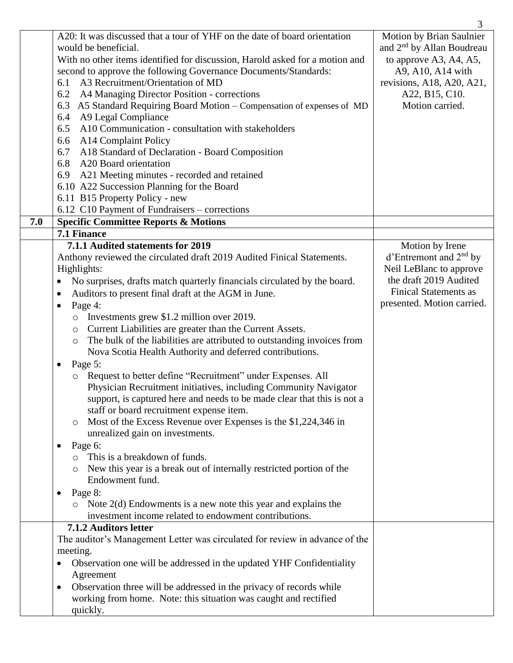|     |                                                                                       | 3                                     |
|-----|---------------------------------------------------------------------------------------|---------------------------------------|
|     | A20: It was discussed that a tour of YHF on the date of board orientation             | Motion by Brian Saulnier              |
|     | would be beneficial.                                                                  | and 2 <sup>nd</sup> by Allan Boudreau |
|     | With no other items identified for discussion, Harold asked for a motion and          | to approve A3, A4, A5,                |
|     | second to approve the following Governance Documents/Standards:                       | A9, A10, A14 with                     |
|     | A3 Recruitment/Orientation of MD<br>6.1                                               | revisions, A18, A20, A21,             |
|     | 6.2<br>A4 Managing Director Position - corrections                                    | A22, B15, C10.                        |
|     | A5 Standard Requiring Board Motion – Compensation of expenses of MD<br>6.3            | Motion carried.                       |
|     | A9 Legal Compliance<br>6.4                                                            |                                       |
|     | A10 Communication - consultation with stakeholders<br>6.5                             |                                       |
|     | A14 Complaint Policy<br>6.6                                                           |                                       |
|     | A18 Standard of Declaration - Board Composition<br>6.7                                |                                       |
|     | 6.8<br>A20 Board orientation                                                          |                                       |
|     | 6.9 A21 Meeting minutes - recorded and retained                                       |                                       |
|     | 6.10 A22 Succession Planning for the Board                                            |                                       |
|     | 6.11 B15 Property Policy - new                                                        |                                       |
|     | 6.12 C10 Payment of Fundraisers – corrections                                         |                                       |
| 7.0 | <b>Specific Committee Reports &amp; Motions</b>                                       |                                       |
|     | 7.1 Finance                                                                           |                                       |
|     | 7.1.1 Audited statements for 2019                                                     | Motion by Irene                       |
|     | Anthony reviewed the circulated draft 2019 Audited Finical Statements.                | $d'$ Entremont and $2nd$ by           |
|     | Highlights:                                                                           | Neil LeBlanc to approve               |
|     | No surprises, drafts match quarterly financials circulated by the board.<br>$\bullet$ | the draft 2019 Audited                |
|     | Auditors to present final draft at the AGM in June.<br>$\bullet$                      | <b>Finical Statements as</b>          |
|     | Page 4:<br>$\bullet$                                                                  | presented. Motion carried.            |
|     | Investments grew \$1.2 million over 2019.<br>$\circ$                                  |                                       |
|     | Current Liabilities are greater than the Current Assets.<br>$\circ$                   |                                       |
|     | The bulk of the liabilities are attributed to outstanding invoices from<br>$\circ$    |                                       |
|     | Nova Scotia Health Authority and deferred contributions.                              |                                       |
|     | Page 5:<br>$\bullet$                                                                  |                                       |
|     | Request to better define "Recruitment" under Expenses. All                            |                                       |
|     | Physician Recruitment initiatives, including Community Navigator                      |                                       |
|     | support, is captured here and needs to be made clear that this is not a               |                                       |
|     | staff or board recruitment expense item.                                              |                                       |
|     | Most of the Excess Revenue over Expenses is the \$1,224,346 in<br>$\circ$             |                                       |
|     | unrealized gain on investments.                                                       |                                       |
|     | Page 6:<br>$\bullet$                                                                  |                                       |
|     | This is a breakdown of funds.                                                         |                                       |
|     | New this year is a break out of internally restricted portion of the                  |                                       |
|     | Endowment fund.                                                                       |                                       |
|     | Page 8:<br>$\bullet$                                                                  |                                       |
|     | Note $2(d)$ Endowments is a new note this year and explains the<br>$\circ$            |                                       |
|     | investment income related to endowment contributions.                                 |                                       |
|     | 7.1.2 Auditors letter                                                                 |                                       |
|     | The auditor's Management Letter was circulated for review in advance of the           |                                       |
|     | meeting.                                                                              |                                       |
|     | Observation one will be addressed in the updated YHF Confidentiality<br>$\bullet$     |                                       |
|     | Agreement                                                                             |                                       |
|     | Observation three will be addressed in the privacy of records while<br>$\bullet$      |                                       |
|     | working from home. Note: this situation was caught and rectified                      |                                       |
|     | quickly.                                                                              |                                       |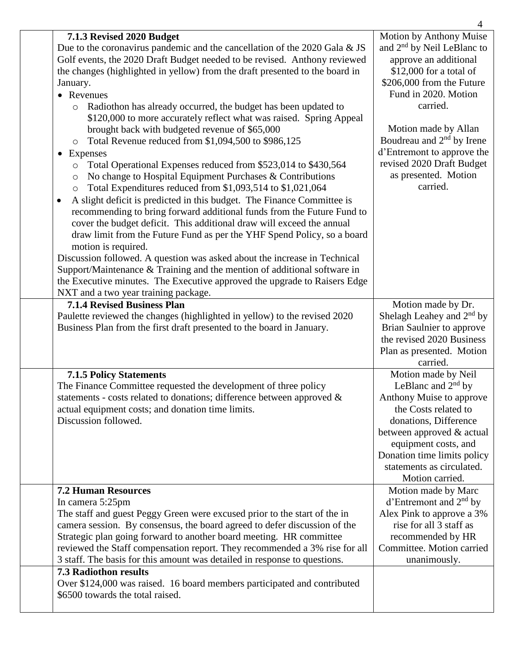|                                                                                                                                                                                                                                                                                                                                                                                                                                                                                                                                                                                                                                                                                                                                                                                                                                                                                                                                                                                                                                                                                                                                                                                                                                                                                                                                                                                                                                            | 4                                                                                                                                                                                                                                                                                                                                                      |
|--------------------------------------------------------------------------------------------------------------------------------------------------------------------------------------------------------------------------------------------------------------------------------------------------------------------------------------------------------------------------------------------------------------------------------------------------------------------------------------------------------------------------------------------------------------------------------------------------------------------------------------------------------------------------------------------------------------------------------------------------------------------------------------------------------------------------------------------------------------------------------------------------------------------------------------------------------------------------------------------------------------------------------------------------------------------------------------------------------------------------------------------------------------------------------------------------------------------------------------------------------------------------------------------------------------------------------------------------------------------------------------------------------------------------------------------|--------------------------------------------------------------------------------------------------------------------------------------------------------------------------------------------------------------------------------------------------------------------------------------------------------------------------------------------------------|
| 7.1.3 Revised 2020 Budget<br>Due to the coronavirus pandemic and the cancellation of the 2020 Gala & JS<br>Golf events, the 2020 Draft Budget needed to be revised. Anthony reviewed<br>the changes (highlighted in yellow) from the draft presented to the board in<br>January.<br>• Revenues<br>Radiothon has already occurred, the budget has been updated to<br>$\circ$<br>\$120,000 to more accurately reflect what was raised. Spring Appeal<br>brought back with budgeted revenue of \$65,000<br>Total Revenue reduced from \$1,094,500 to \$986,125<br>$\circ$<br>Expenses<br>$\bullet$<br>Total Operational Expenses reduced from \$523,014 to \$430,564<br>$\circ$<br>No change to Hospital Equipment Purchases & Contributions<br>$\circ$<br>Total Expenditures reduced from \$1,093,514 to \$1,021,064<br>$\circ$<br>A slight deficit is predicted in this budget. The Finance Committee is<br>recommending to bring forward additional funds from the Future Fund to<br>cover the budget deficit. This additional draw will exceed the annual<br>draw limit from the Future Fund as per the YHF Spend Policy, so a board<br>motion is required.<br>Discussion followed. A question was asked about the increase in Technical<br>Support/Maintenance & Training and the mention of additional software in<br>the Executive minutes. The Executive approved the upgrade to Raisers Edge<br>NXT and a two year training package. | Motion by Anthony Muise<br>and 2 <sup>nd</sup> by Neil LeBlanc to<br>approve an additional<br>\$12,000 for a total of<br>\$206,000 from the Future<br>Fund in 2020. Motion<br>carried.<br>Motion made by Allan<br>Boudreau and 2 <sup>nd</sup> by Irene<br>d'Entremont to approve the<br>revised 2020 Draft Budget<br>as presented. Motion<br>carried. |
| <b>7.1.4 Revised Business Plan</b><br>Paulette reviewed the changes (highlighted in yellow) to the revised 2020<br>Business Plan from the first draft presented to the board in January.                                                                                                                                                                                                                                                                                                                                                                                                                                                                                                                                                                                                                                                                                                                                                                                                                                                                                                                                                                                                                                                                                                                                                                                                                                                   | Motion made by Dr.<br>Shelagh Leahey and $2nd$ by<br>Brian Saulnier to approve<br>the revised 2020 Business<br>Plan as presented. Motion<br>carried.                                                                                                                                                                                                   |
| <b>7.1.5 Policy Statements</b><br>The Finance Committee requested the development of three policy<br>statements - costs related to donations; difference between approved $\&$<br>actual equipment costs; and donation time limits.<br>Discussion followed.                                                                                                                                                                                                                                                                                                                                                                                                                                                                                                                                                                                                                                                                                                                                                                                                                                                                                                                                                                                                                                                                                                                                                                                | Motion made by Neil<br>LeBlanc and $2nd$ by<br>Anthony Muise to approve<br>the Costs related to<br>donations, Difference<br>between approved & actual<br>equipment costs, and<br>Donation time limits policy<br>statements as circulated.<br>Motion carried.                                                                                           |
| <b>7.2 Human Resources</b><br>In camera 5:25pm<br>The staff and guest Peggy Green were excused prior to the start of the in<br>camera session. By consensus, the board agreed to defer discussion of the<br>Strategic plan going forward to another board meeting. HR committee<br>reviewed the Staff compensation report. They recommended a 3% rise for all<br>3 staff. The basis for this amount was detailed in response to questions.<br><b>7.3 Radiothon results</b><br>Over \$124,000 was raised. 16 board members participated and contributed<br>\$6500 towards the total raised.                                                                                                                                                                                                                                                                                                                                                                                                                                                                                                                                                                                                                                                                                                                                                                                                                                                 | Motion made by Marc<br>d'Entremont and $2nd$ by<br>Alex Pink to approve a 3%<br>rise for all 3 staff as<br>recommended by HR<br>Committee. Motion carried<br>unanimously.                                                                                                                                                                              |
|                                                                                                                                                                                                                                                                                                                                                                                                                                                                                                                                                                                                                                                                                                                                                                                                                                                                                                                                                                                                                                                                                                                                                                                                                                                                                                                                                                                                                                            |                                                                                                                                                                                                                                                                                                                                                        |